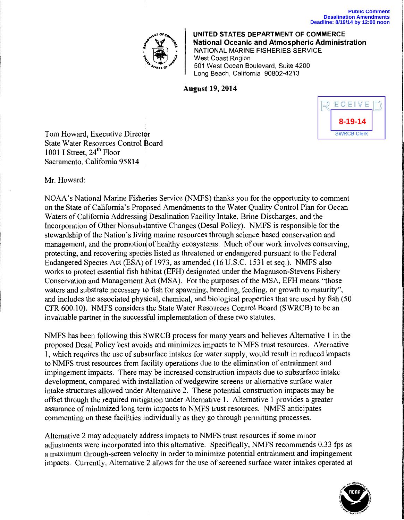

**UNITED STATES DEPARTMENT OF COMMERCE National Oceanic and Atmospheric Administration**  NATIONAL MARINE FISHERIES SERVICE West Coast Region 501 West Ocean Boulevard, Suite 4200 Long Beach, California 90802-4213

## **August 19, 2014**



Tom Howard, Executive Director State Water Resources Control Board 1001 I Street, 24<sup>th</sup> Floor Sacramento, California 95814

Mr. Howard:

NOAA's National Marine Fisheries Service (NMFS) thanks you for the opportunity to comment on the State of California's Proposed Amendments to the Water Quality Control Plan for Ocean Waters of California Addressing Desalination Facility Intake, Brine Discharges, and the Incorporation of Other Nonsubstantive Changes (Desai Policy). NMFS is responsible for the stewardship of the Nation's liviqg marine resources through science based conservation and management, and the promotion of healthy ecosystems. Much of our work involves conserving, protecting, and recovering species listed as threatened or endangered pursuant to the Federal Endangered Species Act (ESA) of 1973, as amended (16 U.S.C. 1531 et seq.). NMFS also works to protect essential fish habitat (EFH) designated under the Magnuson-Stevens Fishery Conservation and Management Act (MSA). For the purposes of the MSA, EFH means "those waters and substrate necessary to fish for spawning, breeding, feeding, or growth to maturity", and includes the associated physical, chemical, and biological properties that are used by fish (50 CFR 600.10). NMFS considers the State Water Resources Control Board (SWRCB) to be an invaluable partner in the successful implementation of these two statutes.

NMFS has been following this SWRCB process for many years and believes Alternative 1 in the proposed Desai Policy best avoids and minimizes impacts to NMFS trust resources. Alternative 1, which requires the use of subsurface intakes for water supply, would result in reduced impacts to NMFS trust resources from facility operations due to the elimination of entrainment and impingement impacts. There may be increased construction impacts due to subsurface intake development, compared with installation of wedgewire screens or alternative surface water intake structures allowed under Alternative 2. These potential construction impacts may be offset through the required mitigation under Alternative 1. Alternative 1 provides a greater assurance of minimized long term impacts to NMFS trust resources. NMFS anticipates commenting on these facilities individually as they go through permitting processes.

Alternative 2 may adequately address impacts to NMFS trust resources if some minor adjustments were incorporated into this alternative. Specifically, NMFS recommends 0.33 fps as a maximum through-screen velocity in order to minimize potential entrainment and impingement impacts. Currently, Alternative 2 allows for the use of screened surface water intakes operated at

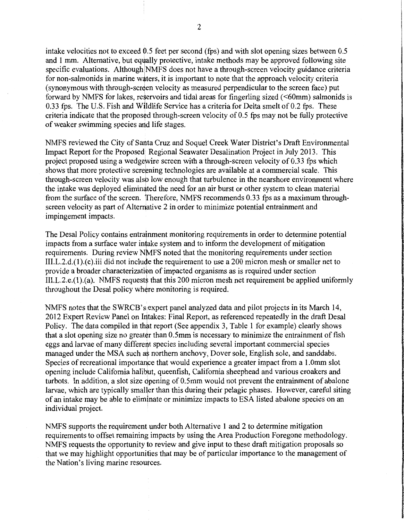intake velocities not to exceed 0.5 feet per second (fps) and with slot opening sizes between 0.5 and 1 mm. Alternative, but equally protective, intake methods may be approved following site specific evaluations. Although NMFS does not have a through-screen velocity guidance criteria for non-salmonids in marine waters, it is important to note that the approach velocity criteria (synonymous with through-screen velocity as measured perpendicular to the screen face) put forward by NMFS for lakes, reservoirs and tidal areas for fingerling sized (<60mm) salmonids is 0.33 fps. The U.S. Fish and Wildlife Service has a criteria for Delta smelt of 0.2 fps. These criteria indicate that the proposed through-screen velocity of  $0.5$  fps may not be fully protective of weaker swimming species and life stages.

NMFS reviewed the City of Santa Cruz and Soquel Creek Water District's Draft Environmental Impact Report for the Proposed Regional Seawater Desalination Project in July 2013. This project proposed using a wedgewire screen with a through-screen velocity of  $0.33$  fps which shows that more protective screening technologies are available at a commercial scale. This through-screen velocity was also low enough that turbulence in the nearshore environment where the intake was deployed eliminated the need for an air burst or other system to clean material from the surface of the screen. Therefore, NMFS recommends 0.33 fps as a maximum throughscreen velocity as part of Alternative 2 in order to minimize potential entrainment and impingement impacts.

The Desai Policy contains entrainment monitoring requirements in order to determine potential impacts from a surface water intake system and to inform the development of mitigation requirements. During review NMFS noted that the monitoring requirements under section III.L.2.d.(1).(c).iii did not include the requirement to use a 200 micron mesh or smaller net to provide a broader characterizatibn of impacted organisms as is required under section  $III.L.2.e.(1)$ .(a). NMFS requests that this 200 micron mesh net requirement be applied uniformly throughout the Desal policy where monitoring is required.

NMFS notes that the SWRCB's expert panel analyzed data and pilot projects in its March 14, 2012 Expert Review Panel on Intakes: Final Report, as referenced repeatedly in the draft Desal Policy. The data compiled in that report (See appendix 3, Table 1 for example) clearly shows that a slot opening size no greater than 0.5mm is necessary to minimize the entrainment of fish eggs and larvae of many different species including several important commercial species managed under the MSA such as northern anchovy, Dover sole, English sole, and sanddabs. Species of recreational importance that would experience a greater impact from a 1.0mm slot opening include California halibut, queenfish, California sheephead and various croakers and turbots. In addition, a slot size opening of 0.5mm would not prevent the entrainment of abalone larvae, which are typically smaller than this during their pelagic phases. However, careful siting of an intake may be able to eliminate or minimize impacts to ESA listed abalone species on an individual project.

NMFS supports the requirement under both Alternative 1 and 2 to determine mitigation requirements to offset remaining impacts by using the Area Production Foregone methodology. NMFS requests the opportunity to review and give input to these draft mitigation proposals so that we may highlight opportunities that may be of particular importance to the management of the Nation's living marine resources.

-------, I